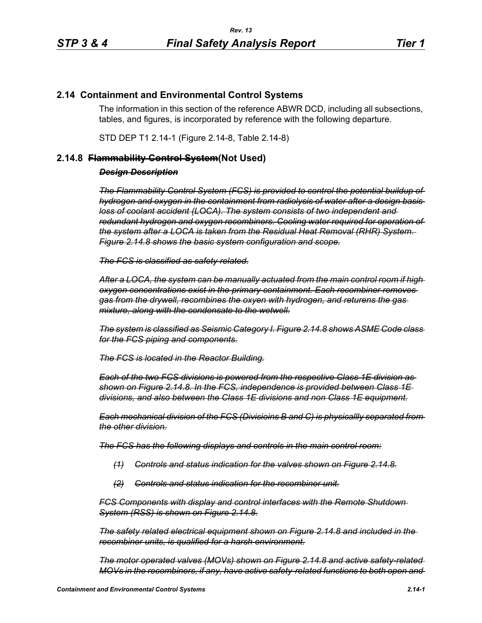## **2.14 Containment and Environmental Control Systems**

The information in this section of the reference ABWR DCD, including all subsections, tables, and figures, is incorporated by reference with the following departure.

STD DEP T1 2.14-1 (Figure 2.14-8, Table 2.14-8)

## **2.14.8 Flammability Control System(Not Used)**

## *Design Description*

*The Flammability Control System (FCS) is provided to control the potential buildup of hydrogen and oxygen in the containment from radiolysis of water after a design basis loss of coolant accident (LOCA). The system consists of two independent and redundant hydrogen and oxygen recombiners. Cooling water required for operation of the system after a LOCA is taken from the Residual Heat Removal (RHR) System. Figure 2.14.8 shows the basic system configuration and scope.*

*The FCS is classified as safety related.*

*After a LOCA, the system can be manually actuated from the main control room if high oxygen concentrations exist in the primary containment. Each recombiner removes gas from the drywell, recombines the oxyen with hydrogen, and returens the gas mixture, along with the condensate to the wetwell.*

*The system is classified as Seismic Category I. Figure 2.14.8 shows ASME Code class for the FCS piping and components.*

*The FCS is located in the Reactor Building.*

*Each of the two FCS divisions is powered from the respective Class 1E division as shown on Figure 2.14.8. In the FCS, independence is provided between Class 1E divisions, and also between the Class 1E divisions and non Class 1E equipment.*

*Each mechanical division of the FCS (Divisioins B and C) is physicallly separated from the other division.*

*The FCS has the following displays and controls in the main control room:*

- *(1) Controls and status indication for the valves shown on Figure 2.14.8.*
- *(2) Controls and status indication for the recombiner unit.*

*FCS Components with display and control interfaces with the Remote Shutdown System (RSS) is shown on Figure 2.14.8.*

*The safety related electrical equipment shown on Figure 2.14.8 and included in the recombiner units, is qualified for a harsh environment.*

*The motor operated valves (MOVs) shown on Figure 2.14.8 and active safety-related MOVs in the recombiners, if any, have active safety-related functions to both open and*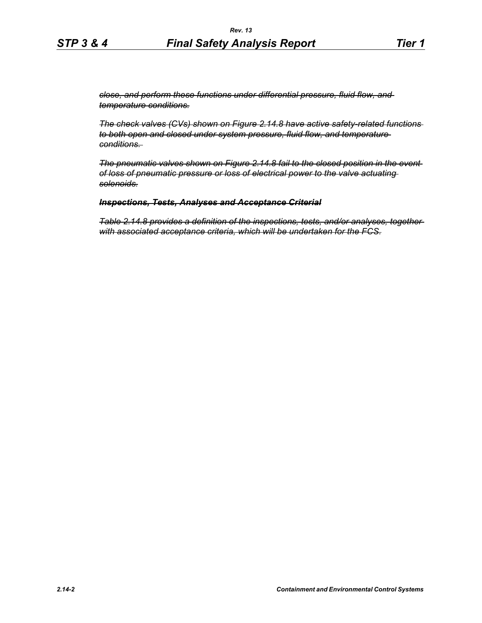*close, and perform these functions under differential pressure, fluid flow, and temperature conditions.*

*The check valves (CVs) shown on Figure 2.14.8 have active safety-related functions to both open and closed under system pressure, fluid flow, and temperature conditions.* 

*The pneumatic valves shown on Figure 2.14.8 fail to the closed position in the event of loss of pneumatic pressure or loss of electrical power to the valve actuating solenoids.*

## *Inspections, Tests, Analyses and Acceptance Criterial*

*Table 2.14.8 provides a definition of the inspections, tests, and/or analyses, together with associated acceptance criteria, which will be undertaken for the FCS.*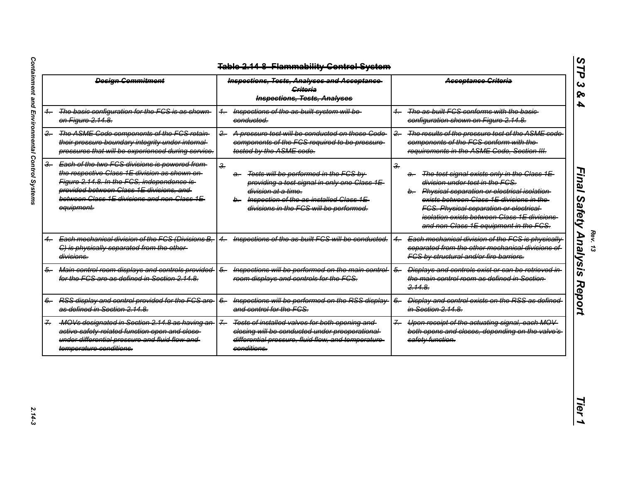|                | <b>Design Commitment</b>                                                                                                                                                                                                                                 | <b>Inspections, Tests, Analyses and Acceptance-</b><br>Criteria<br><b>Inspections, Tests, Analyses</b>                                                                                                                      |                | Acceptance Criteria                                                                                                                                                                                                                                                                                                                      |
|----------------|----------------------------------------------------------------------------------------------------------------------------------------------------------------------------------------------------------------------------------------------------------|-----------------------------------------------------------------------------------------------------------------------------------------------------------------------------------------------------------------------------|----------------|------------------------------------------------------------------------------------------------------------------------------------------------------------------------------------------------------------------------------------------------------------------------------------------------------------------------------------------|
| $+$            | The basic configuration for the FCS is as shown<br>on Figure 2.14.8.                                                                                                                                                                                     | Inspections of the as built system will be-<br>conducted.                                                                                                                                                                   | $+$            | The as built FGS conforms with the basic-<br>configuration shown on Figure 2.14.8.                                                                                                                                                                                                                                                       |
| $\overline{2}$ | The ASME Code components of the FCS retain-<br>their pressure boundary integrity under internal-<br>pressures that will be experienced during service.                                                                                                   | $2 -$<br>A pressure test will be conducted on those Code<br>components of the FCS required to be pressure-<br>tested by the ASME code.                                                                                      | $\frac{2}{5}$  | The results of the pressure test of the ASME code<br>components of the FCS conform with the-<br>requirements in the ASME Code, Section III.                                                                                                                                                                                              |
| $\rightarrow$  | Each of the two FCS divisions is powered from-<br>the respective Class 1E division as shown on-<br>Figure 2.14.8. In the FGS, independence is-<br>provided between Class 1E divisions, and<br>between Class 1E divisions and non Class 1E-<br>equipment. | $\frac{2}{2}$<br>Tests will be performed in the FCS by<br>a.<br>providing a test signal in only one Class 1E-<br>division at a time.<br>Inspection of the as-installed Class 1E-<br>divisions in the FCS will be performed. | $\frac{2}{2}$  | The test signal exists only in the Class 1E-<br>$\ddot{a}$<br>division under test in the FCS.<br>b. Physical separation or electrical isolation<br>exists between Class 1E divisions in the-<br><b>FCS. Physical separation or electrical-</b><br>isolation exists between Class 1E divisions-<br>and non-Class 1E equipment in the FCS. |
| 4.             | Each mechanical division of the FCS (Divisions B,<br>C) is physically separated from the other-<br>divisions.                                                                                                                                            | Inspections of the as built FCS will be conducted.<br>$\leftarrow$                                                                                                                                                          |                | Each mechanical division of the FCS is physically<br>separated from the other mechanical divisions of<br>FCS by structural and/or fire barriers.                                                                                                                                                                                         |
|                | 6. Main control room displays and controls provided<br>for the FCS are as defined in Section 2.14.8.                                                                                                                                                     | Inspections will be performed on the main control<br>$\overline{6}$<br>room displays and controls for the FCS.                                                                                                              | $6-$           | Displays and controls exist or can be retrieved in-<br>the main control room as defined in Section-<br>2.14.8.                                                                                                                                                                                                                           |
| $6-$           | RSS display and control provided for the FCS are-<br>as defined in Section 2.14.8.                                                                                                                                                                       | Inspections will be performed on the RSS display<br>$6-$<br>and control for the FCS.                                                                                                                                        | $6-$           | Display and control exists on the RSS as defined<br>in Section 2.14.8.                                                                                                                                                                                                                                                                   |
| ÷.             | -MOVs designated in Section 2.14.8 as having an-<br>active safety related function open and close-<br>under differential pressure and fluid flow and<br>temperature conditions.                                                                          | $7 -$<br>Tests of installed valves for both opening and<br>closing will be conducted under preoperational-<br>differential pressure, fluid flow, and temperature-<br>conditions.                                            | $\overline{f}$ | Upon receipt of the actuating signal, each MOV<br>both opens and closes, depending on the valve's<br>safety function.                                                                                                                                                                                                                    |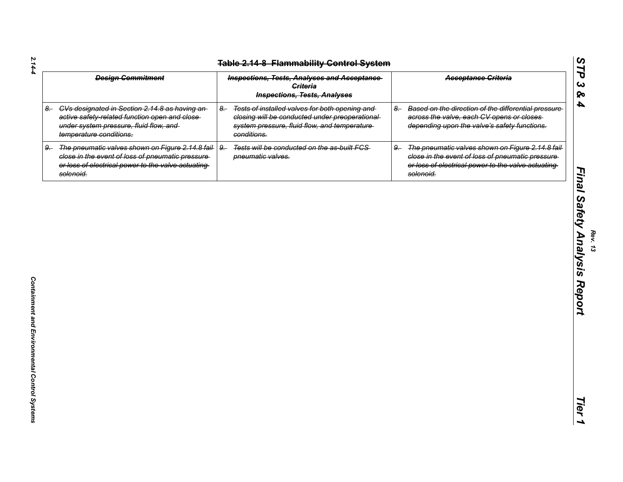| $2.14 - 4$                                    | <b>Design Commitment</b>                                                                                                                                                   | <b>Table 2.14-8 Flammability Control System</b><br><b>Inspections, Tests, Analyses and Acceptance-</b><br><b>Criteria</b><br><b>Inspections, Tests, Analyses</b>         | <b>Acceptance Criteria</b>                                                                                                                                                        |
|-----------------------------------------------|----------------------------------------------------------------------------------------------------------------------------------------------------------------------------|--------------------------------------------------------------------------------------------------------------------------------------------------------------------------|-----------------------------------------------------------------------------------------------------------------------------------------------------------------------------------|
| $8-$                                          | CVs designated in Section 2.14.8 as having an<br>active safety-related function open and close-<br>under system pressure, fluid flow, and<br>temperature conditions.       | Tests of installed valves for both opening and<br>$8-$<br>closing will be conducted under preoperational-<br>system pressure, fluid flow, and temperature<br>conditions. | Based on the direction of the differential pressure<br>$8-$<br>across the valve, each CV opens or closes<br>depending upon the valve's safety functions.                          |
| $9-$                                          | The pneumatic valves shown on Figure 2.14.8 fail-<br>close in the event of loss of pneumatic pressure-<br>or loss of electrical power to the valve actuating-<br>solenoid. | Tests will be conducted on the as-built FCS-<br>$9-$<br>pneumatic valves.                                                                                                | The pneumatic valves shown on Figure 2.14.8 fail-<br>$9-$<br>close in the event of loss of pneumatic pressure-<br>or loss of electrical power to the valve actuating<br>solenoid. |
|                                               |                                                                                                                                                                            |                                                                                                                                                                          |                                                                                                                                                                                   |
|                                               |                                                                                                                                                                            |                                                                                                                                                                          |                                                                                                                                                                                   |
|                                               |                                                                                                                                                                            |                                                                                                                                                                          |                                                                                                                                                                                   |
|                                               |                                                                                                                                                                            |                                                                                                                                                                          |                                                                                                                                                                                   |
|                                               |                                                                                                                                                                            |                                                                                                                                                                          |                                                                                                                                                                                   |
|                                               |                                                                                                                                                                            |                                                                                                                                                                          |                                                                                                                                                                                   |
| Containment and Environmental Control Systems |                                                                                                                                                                            |                                                                                                                                                                          |                                                                                                                                                                                   |